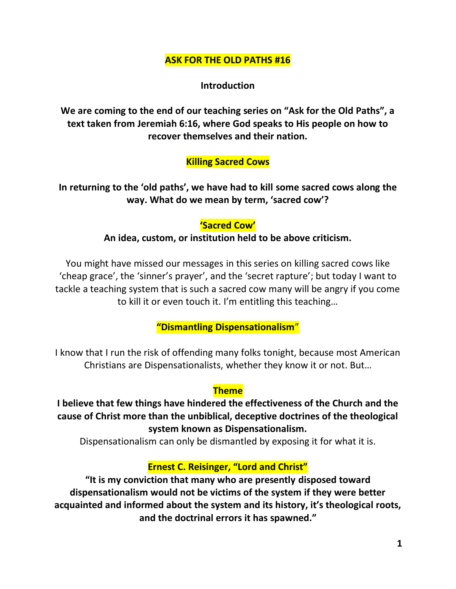### **ASK FOR THE OLD PATHS #16**

**Introduction**

**We are coming to the end of our teaching series on "Ask for the Old Paths", a text taken from Jeremiah 6:16, where God speaks to His people on how to recover themselves and their nation.** 

#### **Killing Sacred Cows**

**In returning to the 'old paths', we have had to kill some sacred cows along the way. What do we mean by term, 'sacred cow'?**

#### **'Sacred Cow'**

#### **An idea, custom, or institution held to be above criticism.**

You might have missed our messages in this series on killing sacred cows like 'cheap grace', the 'sinner's prayer', and the 'secret rapture'; but today I want to tackle a teaching system that is such a sacred cow many will be angry if you come to kill it or even touch it. I'm entitling this teaching…

**"Dismantling Dispensationalism**"

I know that I run the risk of offending many folks tonight, because most American Christians are Dispensationalists, whether they know it or not. But…

#### **Theme**

**I believe that few things have hindered the effectiveness of the Church and the cause of Christ more than the unbiblical, deceptive doctrines of the theological system known as Dispensationalism.**

Dispensationalism can only be dismantled by exposing it for what it is.

#### **Ernest C. Reisinger, "Lord and Christ"**

**"It is my conviction that many who are presently disposed toward dispensationalism would not be victims of the system if they were better acquainted and informed about the system and its history, it's theological roots, and the doctrinal errors it has spawned."**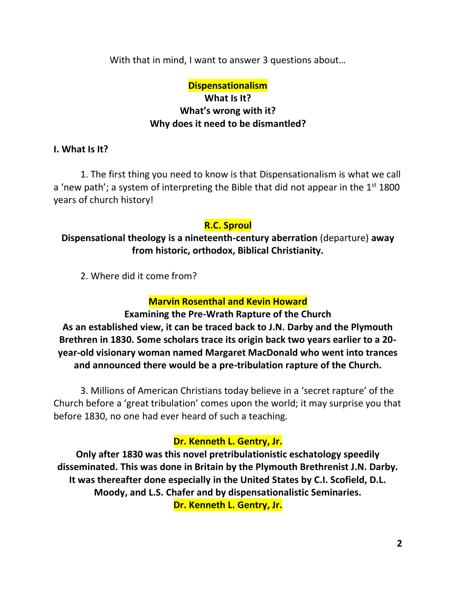With that in mind, I want to answer 3 questions about…

# **Dispensationalism What Is It? What's wrong with it? Why does it need to be dismantled?**

### **I. What Is It?**

1. The first thing you need to know is that Dispensationalism is what we call a 'new path'; a system of interpreting the Bible that did not appear in the  $1<sup>st</sup> 1800$ years of church history!

### **R.C. Sproul**

## **Dispensational theology is a nineteenth-century aberration** (departure) **away from historic, orthodox, Biblical Christianity.**

2. Where did it come from?

## **Marvin Rosenthal and Kevin Howard**

# **Examining the Pre-Wrath Rapture of the Church**

**As an established view, it can be traced back to J.N. Darby and the Plymouth Brethren in 1830. Some scholars trace its origin back two years earlier to a 20 year-old visionary woman named Margaret MacDonald who went into trances and announced there would be a pre-tribulation rapture of the Church.**

3. Millions of American Christians today believe in a 'secret rapture' of the Church before a 'great tribulation' comes upon the world; it may surprise you that before 1830, no one had ever heard of such a teaching.

## **Dr. Kenneth L. Gentry, Jr.**

**Only after 1830 was this novel pretribulationistic eschatology speedily disseminated. This was done in Britain by the Plymouth Brethrenist J.N. Darby. It was thereafter done especially in the United States by C.I. Scofield, D.L. Moody, and L.S. Chafer and by dispensationalistic Seminaries. Dr. Kenneth L. Gentry, Jr.**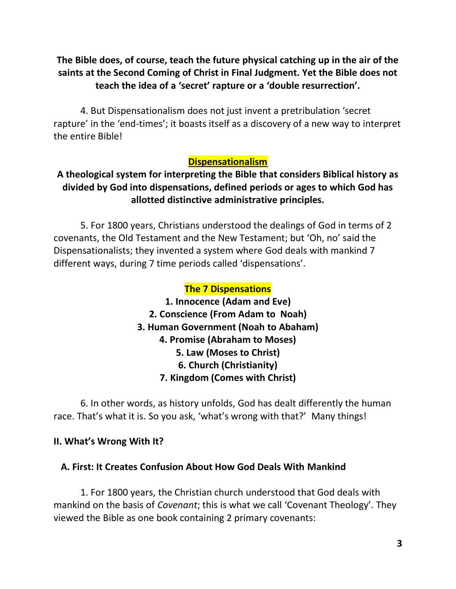# **The Bible does, of course, teach the future physical catching up in the air of the saints at the Second Coming of Christ in Final Judgment. Yet the Bible does not teach the idea of a 'secret' rapture or a 'double resurrection'.**

4. But Dispensationalism does not just invent a pretribulation 'secret rapture' in the 'end-times'; it boasts itself as a discovery of a new way to interpret the entire Bible!

## **Dispensationalism**

# **A theological system for interpreting the Bible that considers Biblical history as divided by God into dispensations, defined periods or ages to which God has allotted distinctive administrative principles.**

5. For 1800 years, Christians understood the dealings of God in terms of 2 covenants, the Old Testament and the New Testament; but 'Oh, no' said the Dispensationalists; they invented a system where God deals with mankind 7 different ways, during 7 time periods called 'dispensations'.

# **The 7 Dispensations**

**1. Innocence (Adam and Eve) 2. Conscience (From Adam to Noah) 3. Human Government (Noah to Abaham) 4. Promise (Abraham to Moses) 5. Law (Moses to Christ) 6. Church (Christianity) 7. Kingdom (Comes with Christ)**

6. In other words, as history unfolds, God has dealt differently the human race. That's what it is. So you ask, 'what's wrong with that?' Many things!

### **II. What's Wrong With It?**

### **A. First: It Creates Confusion About How God Deals With Mankind**

1. For 1800 years, the Christian church understood that God deals with mankind on the basis of *Covenant*; this is what we call 'Covenant Theology'. They viewed the Bible as one book containing 2 primary covenants: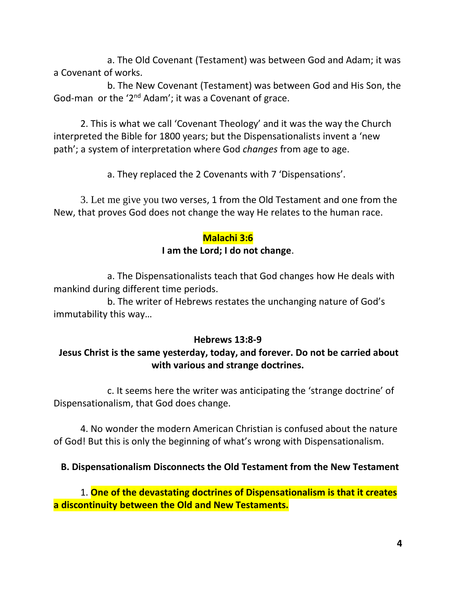a. The Old Covenant (Testament) was between God and Adam; it was a Covenant of works.

b. The New Covenant (Testament) was between God and His Son, the God-man or the '2nd Adam'; it was a Covenant of grace.

2. This is what we call 'Covenant Theology' and it was the way the Church interpreted the Bible for 1800 years; but the Dispensationalists invent a 'new path'; a system of interpretation where God *changes* from age to age.

a. They replaced the 2 Covenants with 7 'Dispensations'.

3. Let me give you two verses, 1 from the Old Testament and one from the New, that proves God does not change the way He relates to the human race.

### **Malachi 3:6**

### **I am the Lord; I do not change**.

a. The Dispensationalists teach that God changes how He deals with mankind during different time periods.

b. The writer of Hebrews restates the unchanging nature of God's immutability this way…

### **Hebrews 13:8-9**

# **Jesus Christ is the same yesterday, today, and forever. Do not be carried about with various and strange doctrines.**

c. It seems here the writer was anticipating the 'strange doctrine' of Dispensationalism, that God does change.

4. No wonder the modern American Christian is confused about the nature of God! But this is only the beginning of what's wrong with Dispensationalism.

## **B. Dispensationalism Disconnects the Old Testament from the New Testament**

1. **One of the devastating doctrines of Dispensationalism is that it creates a discontinuity between the Old and New Testaments.**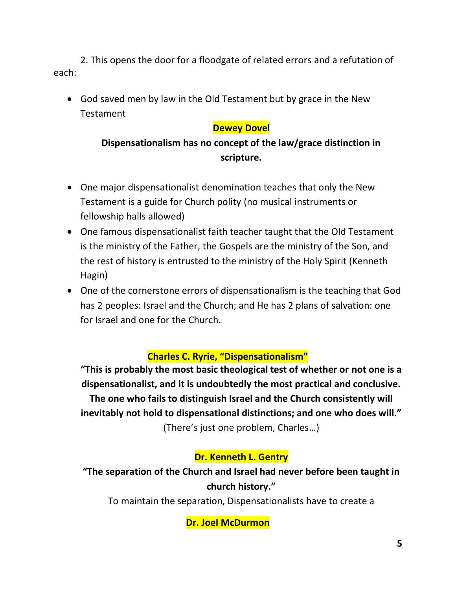2. This opens the door for a floodgate of related errors and a refutation of each:

• God saved men by law in the Old Testament but by grace in the New Testament

## **Dewey Dovel**

# **Dispensationalism has no concept of the law/grace distinction in scripture.**

- One major dispensationalist denomination teaches that only the New Testament is a guide for Church polity (no musical instruments or fellowship halls allowed)
- One famous dispensationalist faith teacher taught that the Old Testament is the ministry of the Father, the Gospels are the ministry of the Son, and the rest of history is entrusted to the ministry of the Holy Spirit (Kenneth Hagin)
- One of the cornerstone errors of dispensationalism is the teaching that God has 2 peoples: Israel and the Church; and He has 2 plans of salvation: one for Israel and one for the Church.

# **Charles C. Ryrie, "Dispensationalism"**

**"This is probably the most basic theological test of whether or not one is a dispensationalist, and it is undoubtedly the most practical and conclusive. The one who fails to distinguish Israel and the Church consistently will inevitably not hold to dispensational distinctions; and one who does will."** (There's just one problem, Charles…)

# **Dr. Kenneth L. Gentry**

**"The separation of the Church and Israel had never before been taught in church history."**

To maintain the separation, Dispensationalists have to create a

**Dr. Joel McDurmon**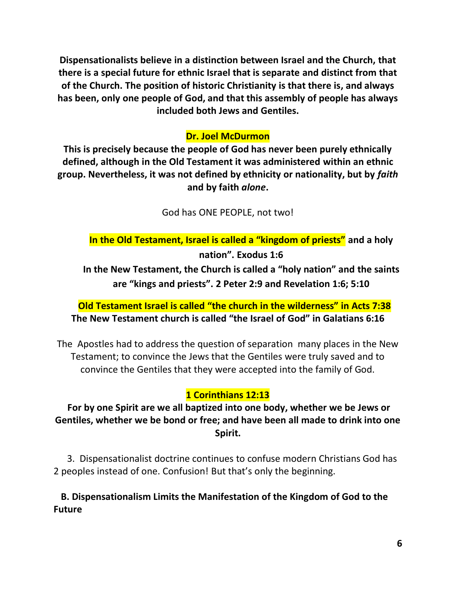**Dispensationalists believe in a distinction between Israel and the Church, that there is a special future for ethnic Israel that is separate and distinct from that of the Church. The position of historic Christianity is that there is, and always has been, only one people of God, and that this assembly of people has always included both Jews and Gentiles.**

# **Dr. Joel McDurmon**

**This is precisely because the people of God has never been purely ethnically defined, although in the Old Testament it was administered within an ethnic group. Nevertheless, it was not defined by ethnicity or nationality, but by** *faith* **and by faith** *alone***.**

God has ONE PEOPLE, not two!

**In the Old Testament, Israel is called a "kingdom of priests" and a holy nation". Exodus 1:6**

**In the New Testament, the Church is called a "holy nation" and the saints are "kings and priests". 2 Peter 2:9 and Revelation 1:6; 5:10**

**Old Testament Israel is called "the church in the wilderness" in Acts 7:38 The New Testament church is called "the Israel of God" in Galatians 6:16**

The Apostles had to address the question of separation many places in the New Testament; to convince the Jews that the Gentiles were truly saved and to convince the Gentiles that they were accepted into the family of God.

# **1 Corinthians 12:13**

**For by one Spirit are we all baptized into one body, whether we be Jews or Gentiles, whether we be bond or free; and have been all made to drink into one Spirit.**

3. Dispensationalist doctrine continues to confuse modern Christians God has 2 peoples instead of one. Confusion! But that's only the beginning.

 **B. Dispensationalism Limits the Manifestation of the Kingdom of God to the Future**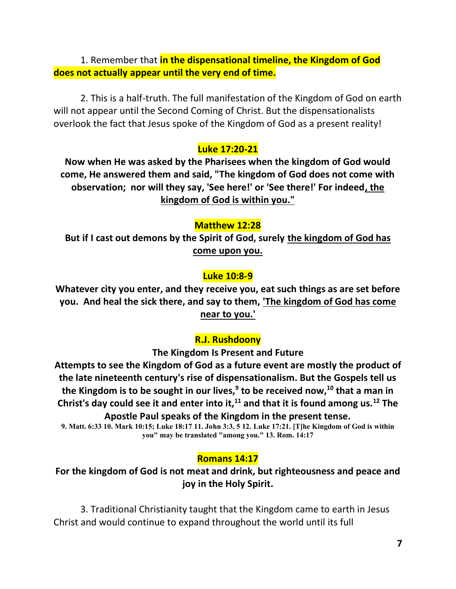1. Remember that **in the dispensational timeline, the Kingdom of God does not actually appear until the very end of time.**

2. This is a half-truth. The full manifestation of the Kingdom of God on earth will not appear until the Second Coming of Christ. But the dispensationalists overlook the fact that Jesus spoke of the Kingdom of God as a present reality!

### **Luke 17:20-21**

**Now when He was asked by the Pharisees when the kingdom of God would come, He answered them and said, "The kingdom of God does not come with observation; nor will they say, 'See here!' or 'See there!' For indeed, the kingdom of God is within you."**

#### **Matthew 12:28**

**But if I cast out demons by the Spirit of God, surely the kingdom of God has come upon you.**

#### **Luke 10:8-9**

**Whatever city you enter, and they receive you, eat such things as are set before you. And heal the sick there, and say to them, 'The kingdom of God has come near to you.'** 

#### **R.J. Rushdoony**

**The Kingdom Is Present and Future**

**Attempts to see the Kingdom of God as a future event are mostly the product of the late nineteenth century's rise of dispensationalism. But the Gospels tell us the Kingdom is to be sought in our lives,<sup>9</sup> to be received now,<sup>10</sup> that a man in Christ's day could see it and enter into it,<sup>11</sup> and that it is found among us.<sup>12</sup> The Apostle Paul speaks of the Kingdom in the present tense.**

**9. Matt. 6:33 10. Mark 10:15; Luke 18:17 11. John 3:3, 5 12. Luke 17:21. [T]he Kingdom of God is within you" may be translated "among you." 13. Rom. 14:17**

#### **Romans 14:17**

**For the kingdom of God is not meat and drink, but righteousness and peace and joy in the Holy Spirit.**

3. Traditional Christianity taught that the Kingdom came to earth in Jesus Christ and would continue to expand throughout the world until its full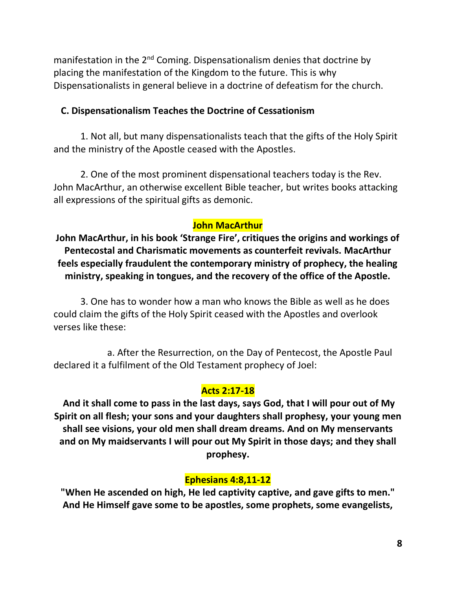manifestation in the 2<sup>nd</sup> Coming. Dispensationalism denies that doctrine by placing the manifestation of the Kingdom to the future. This is why Dispensationalists in general believe in a doctrine of defeatism for the church.

#### **C. Dispensationalism Teaches the Doctrine of Cessationism**

1. Not all, but many dispensationalists teach that the gifts of the Holy Spirit and the ministry of the Apostle ceased with the Apostles.

2. One of the most prominent dispensational teachers today is the Rev. John MacArthur, an otherwise excellent Bible teacher, but writes books attacking all expressions of the spiritual gifts as demonic.

### **John MacArthur**

**John MacArthur, in his book 'Strange Fire', critiques the origins and workings of Pentecostal and Charismatic movements as counterfeit revivals. MacArthur feels especially fraudulent the contemporary ministry of prophecy, the healing ministry, speaking in tongues, and the recovery of the office of the Apostle.**

3. One has to wonder how a man who knows the Bible as well as he does could claim the gifts of the Holy Spirit ceased with the Apostles and overlook verses like these:

a. After the Resurrection, on the Day of Pentecost, the Apostle Paul declared it a fulfilment of the Old Testament prophecy of Joel:

#### **Acts 2:17-18**

**And it shall come to pass in the last days, says God, that I will pour out of My Spirit on all flesh; your sons and your daughters shall prophesy, your young men shall see visions, your old men shall dream dreams. And on My menservants and on My maidservants I will pour out My Spirit in those days; and they shall prophesy.**

### **Ephesians 4:8,11-12**

**"When He ascended on high, He led captivity captive, and gave gifts to men." And He Himself gave some to be apostles, some prophets, some evangelists,**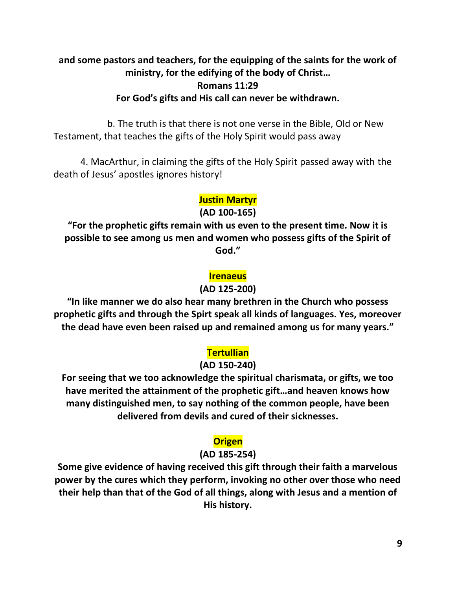# **and some pastors and teachers, for the equipping of the saints for the work of ministry, for the edifying of the body of Christ… Romans 11:29 For God's gifts and His call can never be withdrawn.**

b. The truth is that there is not one verse in the Bible, Old or New Testament, that teaches the gifts of the Holy Spirit would pass away

4. MacArthur, in claiming the gifts of the Holy Spirit passed away with the death of Jesus' apostles ignores history!

### **Justin Martyr**

**(AD 100-165)**

**"For the prophetic gifts remain with us even to the present time. Now it is possible to see among us men and women who possess gifts of the Spirit of God."**

### **Irenaeus**

#### **(AD 125-200)**

**"In like manner we do also hear many brethren in the Church who possess prophetic gifts and through the Spirt speak all kinds of languages. Yes, moreover the dead have even been raised up and remained among us for many years."**

## **Tertullian**

### **(AD 150-240)**

**For seeing that we too acknowledge the spiritual charismata, or gifts, we too have merited the attainment of the prophetic gift…and heaven knows how many distinguished men, to say nothing of the common people, have been delivered from devils and cured of their sicknesses.**

## **Origen**

### **(AD 185-254)**

**Some give evidence of having received this gift through their faith a marvelous power by the cures which they perform, invoking no other over those who need their help than that of the God of all things, along with Jesus and a mention of His history.**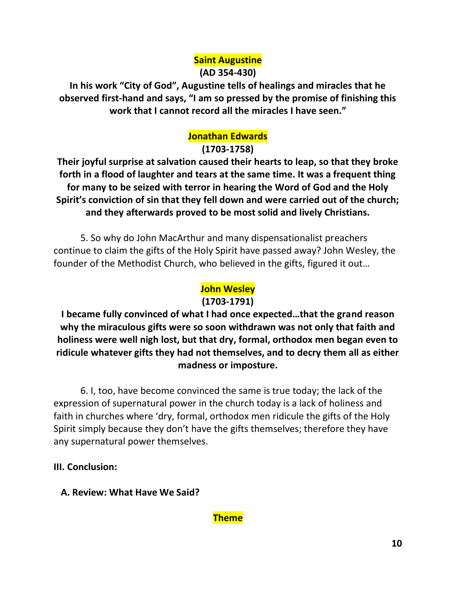# **Saint Augustine (AD 354-430)**

**In his work "City of God", Augustine tells of healings and miracles that he observed first-hand and says, "I am so pressed by the promise of finishing this work that I cannot record all the miracles I have seen."**

# **Jonathan Edwards**

**(1703-1758)**

**Their joyful surprise at salvation caused their hearts to leap, so that they broke forth in a flood of laughter and tears at the same time. It was a frequent thing for many to be seized with terror in hearing the Word of God and the Holy Spirit's conviction of sin that they fell down and were carried out of the church; and they afterwards proved to be most solid and lively Christians.**

5. So why do John MacArthur and many dispensationalist preachers continue to claim the gifts of the Holy Spirit have passed away? John Wesley, the founder of the Methodist Church, who believed in the gifts, figured it out…

# **John Wesley**

## **(1703-1791)**

**I became fully convinced of what I had once expected…that the grand reason why the miraculous gifts were so soon withdrawn was not only that faith and holiness were well nigh lost, but that dry, formal, orthodox men began even to ridicule whatever gifts they had not themselves, and to decry them all as either madness or imposture.**

6. I, too, have become convinced the same is true today; the lack of the expression of supernatural power in the church today is a lack of holiness and faith in churches where 'dry, formal, orthodox men ridicule the gifts of the Holy Spirit simply because they don't have the gifts themselves; therefore they have any supernatural power themselves.

**III. Conclusion:** 

 **A. Review: What Have We Said?**

**Theme**